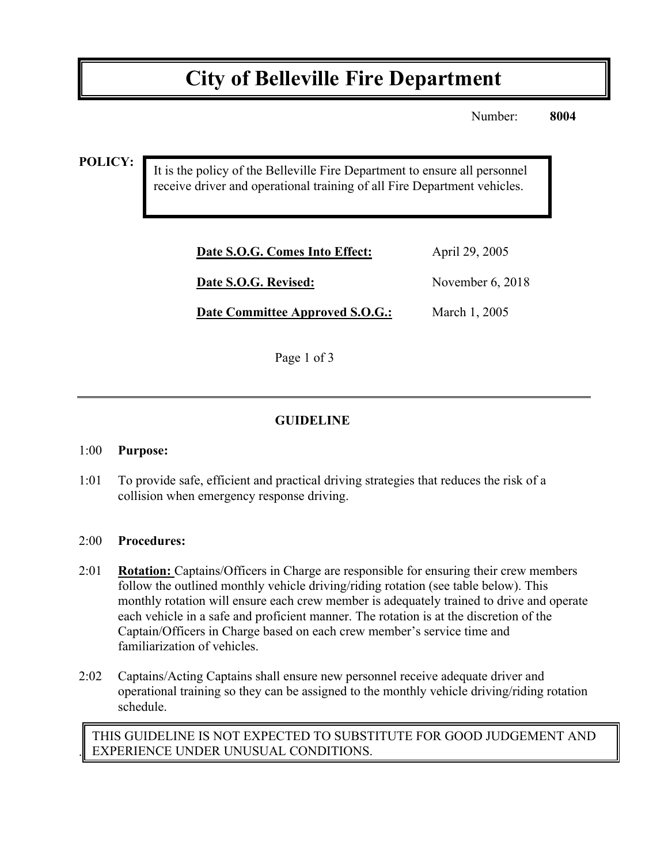# **City of Belleville Fire Department**

Number: **8004**

**POLICY:**

It is the policy of the Belleville Fire Department to ensure all personnel receive driver and operational training of all Fire Department vehicles.

| Date S.O.G. Comes Into Effect:  | April 29, 2005     |
|---------------------------------|--------------------|
| Date S.O.G. Revised:            | November $6, 2018$ |
| Date Committee Approved S.O.G.: | March 1, 2005      |

Page 1 of 3

## **GUIDELINE**

#### 1:00 **Purpose:**

1:01 To provide safe, efficient and practical driving strategies that reduces the risk of a collision when emergency response driving.

#### 2:00 **Procedures:**

.

- 2:01 **Rotation:** Captains/Officers in Charge are responsible for ensuring their crew members follow the outlined monthly vehicle driving/riding rotation (see table below). This monthly rotation will ensure each crew member is adequately trained to drive and operate each vehicle in a safe and proficient manner. The rotation is at the discretion of the Captain/Officers in Charge based on each crew member's service time and familiarization of vehicles.
- 2:02 Captains/Acting Captains shall ensure new personnel receive adequate driver and operational training so they can be assigned to the monthly vehicle driving/riding rotation schedule.

THIS GUIDELINE IS NOT EXPECTED TO SUBSTITUTE FOR GOOD JUDGEMENT AND EXPERIENCE UNDER UNUSUAL CONDITIONS.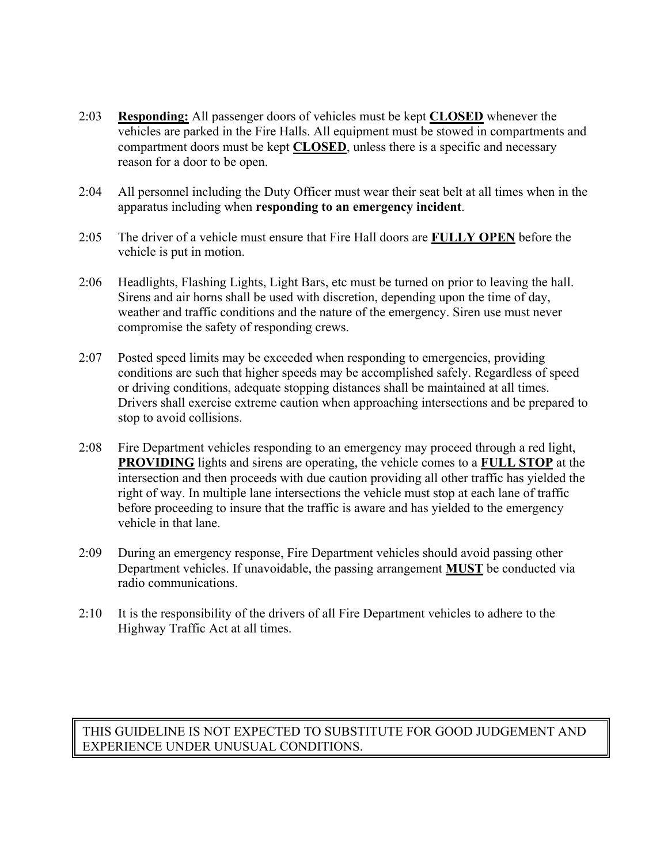- 2:03 **Responding:** All passenger doors of vehicles must be kept **CLOSED** whenever the vehicles are parked in the Fire Halls. All equipment must be stowed in compartments and compartment doors must be kept **CLOSED**, unless there is a specific and necessary reason for a door to be open.
- 2:04 All personnel including the Duty Officer must wear their seat belt at all times when in the apparatus including when **responding to an emergency incident**.
- 2:05 The driver of a vehicle must ensure that Fire Hall doors are **FULLY OPEN** before the vehicle is put in motion.
- 2:06 Headlights, Flashing Lights, Light Bars, etc must be turned on prior to leaving the hall. Sirens and air horns shall be used with discretion, depending upon the time of day, weather and traffic conditions and the nature of the emergency. Siren use must never compromise the safety of responding crews.
- 2:07 Posted speed limits may be exceeded when responding to emergencies, providing conditions are such that higher speeds may be accomplished safely. Regardless of speed or driving conditions, adequate stopping distances shall be maintained at all times. Drivers shall exercise extreme caution when approaching intersections and be prepared to stop to avoid collisions.
- 2:08 Fire Department vehicles responding to an emergency may proceed through a red light, **PROVIDING** lights and sirens are operating, the vehicle comes to a **FULL STOP** at the intersection and then proceeds with due caution providing all other traffic has yielded the right of way. In multiple lane intersections the vehicle must stop at each lane of traffic before proceeding to insure that the traffic is aware and has yielded to the emergency vehicle in that lane.
- 2:09 During an emergency response, Fire Department vehicles should avoid passing other Department vehicles. If unavoidable, the passing arrangement **MUST** be conducted via radio communications.
- 2:10 It is the responsibility of the drivers of all Fire Department vehicles to adhere to the Highway Traffic Act at all times.

#### THIS GUIDELINE IS NOT EXPECTED TO SUBSTITUTE FOR GOOD JUDGEMENT AND EXPERIENCE UNDER UNUSUAL CONDITIONS.